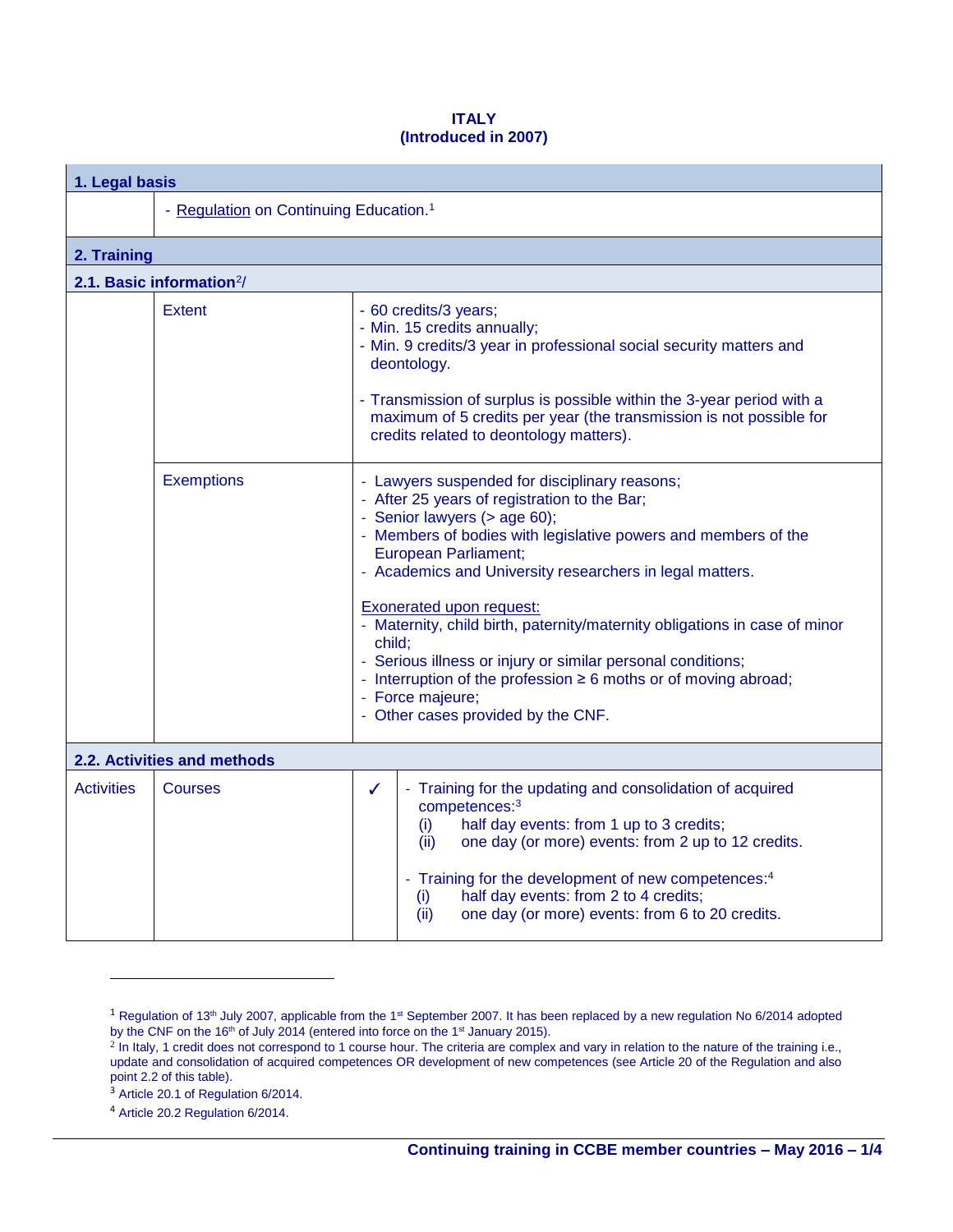## **ITALY (Introduced in 2007)**

| 1. Legal basis                        |                                                    |                                                                                                                                                                                                                                                                                                                                                                                                                                                                                                                                                                                                                        |  |  |  |  |  |  |
|---------------------------------------|----------------------------------------------------|------------------------------------------------------------------------------------------------------------------------------------------------------------------------------------------------------------------------------------------------------------------------------------------------------------------------------------------------------------------------------------------------------------------------------------------------------------------------------------------------------------------------------------------------------------------------------------------------------------------------|--|--|--|--|--|--|
|                                       | - Regulation on Continuing Education. <sup>1</sup> |                                                                                                                                                                                                                                                                                                                                                                                                                                                                                                                                                                                                                        |  |  |  |  |  |  |
| 2. Training                           |                                                    |                                                                                                                                                                                                                                                                                                                                                                                                                                                                                                                                                                                                                        |  |  |  |  |  |  |
| 2.1. Basic information <sup>2</sup> / |                                                    |                                                                                                                                                                                                                                                                                                                                                                                                                                                                                                                                                                                                                        |  |  |  |  |  |  |
|                                       | <b>Extent</b>                                      | - 60 credits/3 years;<br>- Min. 15 credits annually;<br>- Min. 9 credits/3 year in professional social security matters and<br>deontology.<br>- Transmission of surplus is possible within the 3-year period with a<br>maximum of 5 credits per year (the transmission is not possible for<br>credits related to deontology matters).                                                                                                                                                                                                                                                                                  |  |  |  |  |  |  |
|                                       | <b>Exemptions</b>                                  | - Lawyers suspended for disciplinary reasons;<br>- After 25 years of registration to the Bar;<br>- Senior lawyers (> age 60);<br>- Members of bodies with legislative powers and members of the<br><b>European Parliament;</b><br>- Academics and University researchers in legal matters.<br><b>Exonerated upon request:</b><br>- Maternity, child birth, paternity/maternity obligations in case of minor<br>child;<br>- Serious illness or injury or similar personal conditions;<br>- Interruption of the profession $\geq 6$ moths or of moving abroad;<br>- Force majeure;<br>- Other cases provided by the CNF. |  |  |  |  |  |  |
| 2.2. Activities and methods           |                                                    |                                                                                                                                                                                                                                                                                                                                                                                                                                                                                                                                                                                                                        |  |  |  |  |  |  |
| <b>Activities</b>                     | <b>Courses</b>                                     | Training for the updating and consolidation of acquired<br>$\checkmark$<br>competences:3<br>half day events: from 1 up to 3 credits;<br>(i)<br>one day (or more) events: from 2 up to 12 credits.<br>(ii)<br>- Training for the development of new competences: <sup>4</sup><br>half day events: from 2 to 4 credits;<br>(i)<br>one day (or more) events: from 6 to 20 credits.<br>(ii)                                                                                                                                                                                                                                |  |  |  |  |  |  |

 $\overline{a}$ 

 $1$  Regulation of 13<sup>th</sup> July 2007, applicable from the 1<sup>st</sup> September 2007. It has been replaced by a new regulation No 6/2014 adopted by the CNF on the 16<sup>th</sup> of July 2014 (entered into force on the 1<sup>st</sup> January 2015).

<sup>&</sup>lt;sup>2</sup> In Italy, 1 credit does not correspond to 1 course hour. The criteria are complex and vary in relation to the nature of the training i.e., update and consolidation of acquired competences OR development of new competences (see Article 20 of the Regulation and also point 2.2 of this table).

<sup>3</sup> Article 20.1 of Regulation 6/2014.

<sup>4</sup> Article 20.2 Regulation 6/2014.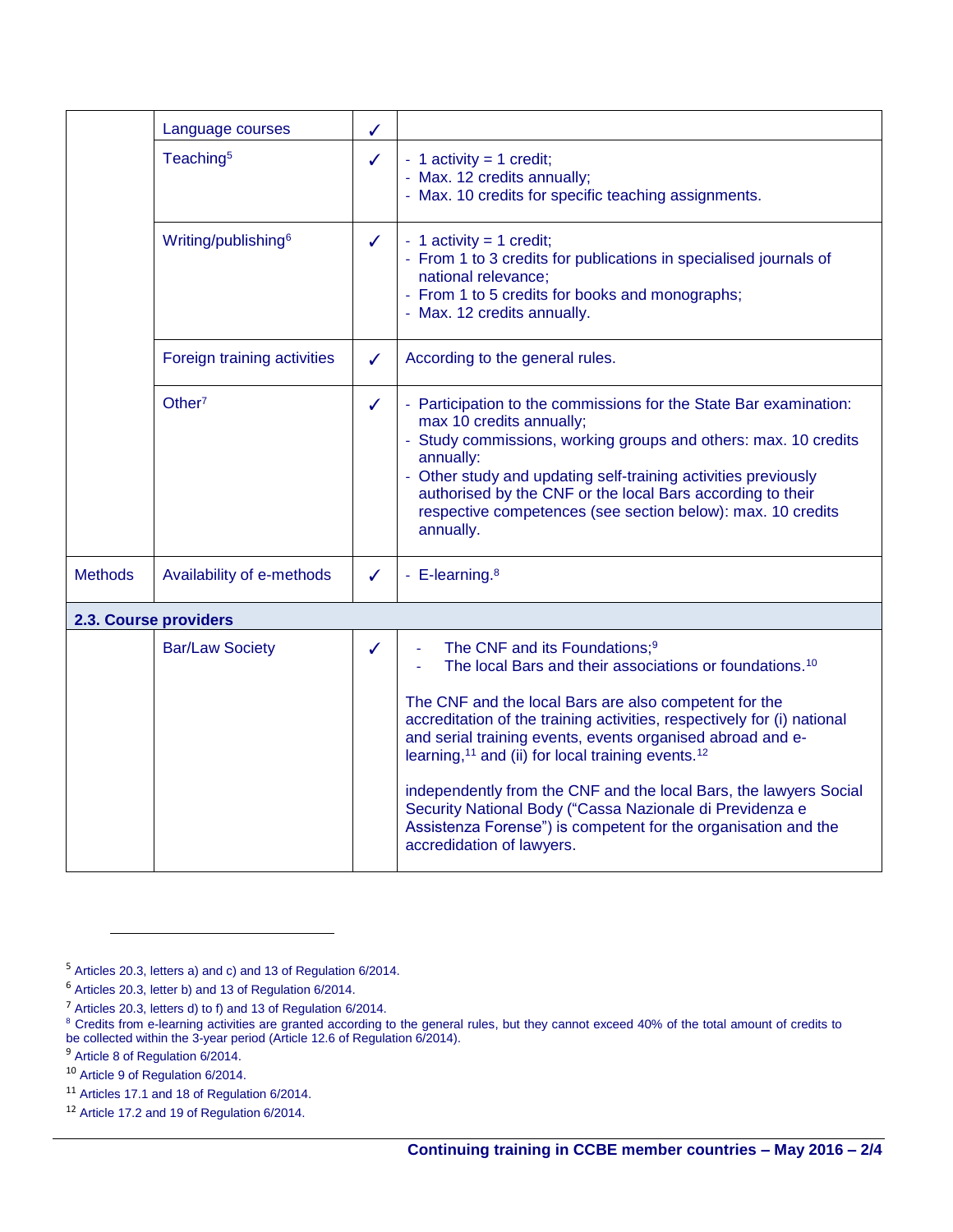|                       | Language courses                | ✓            |                                                                                                                                                                                                                                                                                                                                                                                                                                                                                                                                                                                                                                 |  |  |  |  |
|-----------------------|---------------------------------|--------------|---------------------------------------------------------------------------------------------------------------------------------------------------------------------------------------------------------------------------------------------------------------------------------------------------------------------------------------------------------------------------------------------------------------------------------------------------------------------------------------------------------------------------------------------------------------------------------------------------------------------------------|--|--|--|--|
|                       | Teaching <sup>5</sup>           | $\checkmark$ | - 1 activity = 1 credit;<br>- Max. 12 credits annually;<br>- Max. 10 credits for specific teaching assignments.                                                                                                                                                                                                                                                                                                                                                                                                                                                                                                                 |  |  |  |  |
|                       | Writing/publishing <sup>6</sup> | $\checkmark$ | - 1 activity = 1 credit;<br>- From 1 to 3 credits for publications in specialised journals of<br>national relevance;<br>- From 1 to 5 credits for books and monographs;<br>- Max. 12 credits annually.                                                                                                                                                                                                                                                                                                                                                                                                                          |  |  |  |  |
|                       | Foreign training activities     | $\checkmark$ | According to the general rules.                                                                                                                                                                                                                                                                                                                                                                                                                                                                                                                                                                                                 |  |  |  |  |
|                       | Other <sup>7</sup>              | ✓            | - Participation to the commissions for the State Bar examination:<br>max 10 credits annually;<br>- Study commissions, working groups and others: max. 10 credits<br>annually:<br>- Other study and updating self-training activities previously<br>authorised by the CNF or the local Bars according to their<br>respective competences (see section below): max. 10 credits<br>annually.                                                                                                                                                                                                                                       |  |  |  |  |
| <b>Methods</b>        | Availability of e-methods       | $\checkmark$ | - E-learning. <sup>8</sup>                                                                                                                                                                                                                                                                                                                                                                                                                                                                                                                                                                                                      |  |  |  |  |
| 2.3. Course providers |                                 |              |                                                                                                                                                                                                                                                                                                                                                                                                                                                                                                                                                                                                                                 |  |  |  |  |
|                       | <b>Bar/Law Society</b>          | ✓            | The CNF and its Foundations; <sup>9</sup><br>The local Bars and their associations or foundations. <sup>10</sup><br>The CNF and the local Bars are also competent for the<br>accreditation of the training activities, respectively for (i) national<br>and serial training events, events organised abroad and e-<br>learning, <sup>11</sup> and (ii) for local training events. <sup>12</sup><br>independently from the CNF and the local Bars, the lawyers Social<br>Security National Body ("Cassa Nazionale di Previdenza e<br>Assistenza Forense") is competent for the organisation and the<br>accredidation of lawyers. |  |  |  |  |

 $\overline{a}$ 

<sup>5</sup> Articles 20.3, letters a) and c) and 13 of Regulation 6/2014.

<sup>6</sup> Articles 20.3, letter b) and 13 of Regulation 6/2014.

<sup>&</sup>lt;sup>7</sup> Articles 20.3, letters d) to f) and 13 of Regulation  $6/2014$ .

 $8$  Credits from e-learning activities are granted according to the general rules, but they cannot exceed 40% of the total amount of credits to be collected within the 3-year period (Article 12.6 of Regulation 6/2014).

<sup>&</sup>lt;sup>9</sup> Article 8 of Regulation 6/2014.

<sup>10</sup> Article 9 of Regulation 6/2014.

<sup>11</sup> Articles 17.1 and 18 of Regulation 6/2014.

<sup>12</sup> Article 17.2 and 19 of Regulation 6/2014.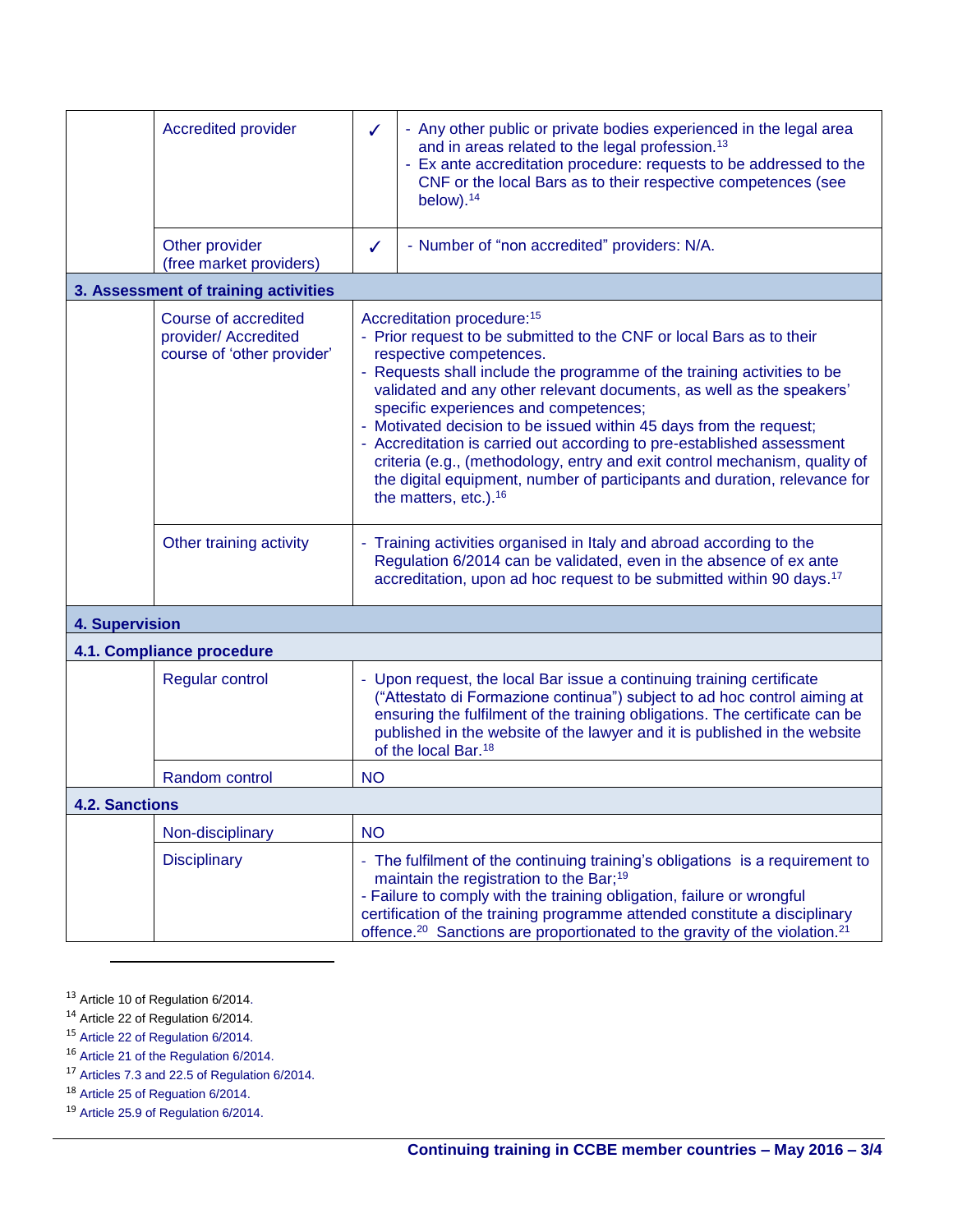|                                      | <b>Accredited provider</b>                                                 | ✓            | - Any other public or private bodies experienced in the legal area<br>and in areas related to the legal profession. <sup>13</sup><br>- Ex ante accreditation procedure: requests to be addressed to the<br>CNF or the local Bars as to their respective competences (see<br>below). $14$                                                                                                                                                                                                                                                                                                                                                                                   |  |  |  |
|--------------------------------------|----------------------------------------------------------------------------|--------------|----------------------------------------------------------------------------------------------------------------------------------------------------------------------------------------------------------------------------------------------------------------------------------------------------------------------------------------------------------------------------------------------------------------------------------------------------------------------------------------------------------------------------------------------------------------------------------------------------------------------------------------------------------------------------|--|--|--|
|                                      | Other provider<br>(free market providers)                                  | $\checkmark$ | - Number of "non accredited" providers: N/A.                                                                                                                                                                                                                                                                                                                                                                                                                                                                                                                                                                                                                               |  |  |  |
| 3. Assessment of training activities |                                                                            |              |                                                                                                                                                                                                                                                                                                                                                                                                                                                                                                                                                                                                                                                                            |  |  |  |
|                                      | Course of accredited<br>provider/ Accredited<br>course of 'other provider' |              | Accreditation procedure: 15<br>- Prior request to be submitted to the CNF or local Bars as to their<br>respective competences.<br>- Requests shall include the programme of the training activities to be<br>validated and any other relevant documents, as well as the speakers'<br>specific experiences and competences;<br>- Motivated decision to be issued within 45 days from the request;<br>- Accreditation is carried out according to pre-established assessment<br>criteria (e.g., (methodology, entry and exit control mechanism, quality of<br>the digital equipment, number of participants and duration, relevance for<br>the matters, etc.). <sup>16</sup> |  |  |  |
|                                      | Other training activity                                                    |              | Training activities organised in Italy and abroad according to the<br>Regulation 6/2014 can be validated, even in the absence of ex ante<br>accreditation, upon ad hoc request to be submitted within 90 days. <sup>17</sup>                                                                                                                                                                                                                                                                                                                                                                                                                                               |  |  |  |
| <b>4. Supervision</b>                |                                                                            |              |                                                                                                                                                                                                                                                                                                                                                                                                                                                                                                                                                                                                                                                                            |  |  |  |
|                                      | 4.1. Compliance procedure                                                  |              |                                                                                                                                                                                                                                                                                                                                                                                                                                                                                                                                                                                                                                                                            |  |  |  |
|                                      | <b>Regular control</b>                                                     |              | - Upon request, the local Bar issue a continuing training certificate<br>("Attestato di Formazione continua") subject to ad hoc control aiming at<br>ensuring the fulfilment of the training obligations. The certificate can be<br>published in the website of the lawyer and it is published in the website<br>of the local Bar. <sup>18</sup>                                                                                                                                                                                                                                                                                                                           |  |  |  |
|                                      | Random control                                                             | <b>NO</b>    |                                                                                                                                                                                                                                                                                                                                                                                                                                                                                                                                                                                                                                                                            |  |  |  |
| <b>4.2. Sanctions</b>                |                                                                            |              |                                                                                                                                                                                                                                                                                                                                                                                                                                                                                                                                                                                                                                                                            |  |  |  |
|                                      | Non-disciplinary                                                           | <b>NO</b>    |                                                                                                                                                                                                                                                                                                                                                                                                                                                                                                                                                                                                                                                                            |  |  |  |
|                                      | <b>Disciplinary</b>                                                        |              | - The fulfilment of the continuing training's obligations is a requirement to<br>maintain the registration to the Bar; <sup>19</sup><br>- Failure to comply with the training obligation, failure or wrongful<br>certification of the training programme attended constitute a disciplinary<br>offence. <sup>20</sup> Sanctions are proportionated to the gravity of the violation. <sup>21</sup>                                                                                                                                                                                                                                                                          |  |  |  |

<sup>13</sup> Article 10 of Regulation 6/2014.

 $\overline{a}$ 

 $14$  Article 22 of Regulation 6/2014.

<sup>15</sup> Article 22 of Regulation 6/2014.

<sup>16</sup> Article 21 of the Regulation 6/2014.

 $17$  Articles 7.3 and 22.5 of Regulation 6/2014.

<sup>18</sup> Article 25 of Reguation 6/2014.

<sup>19</sup> Article 25.9 of Regulation 6/2014.